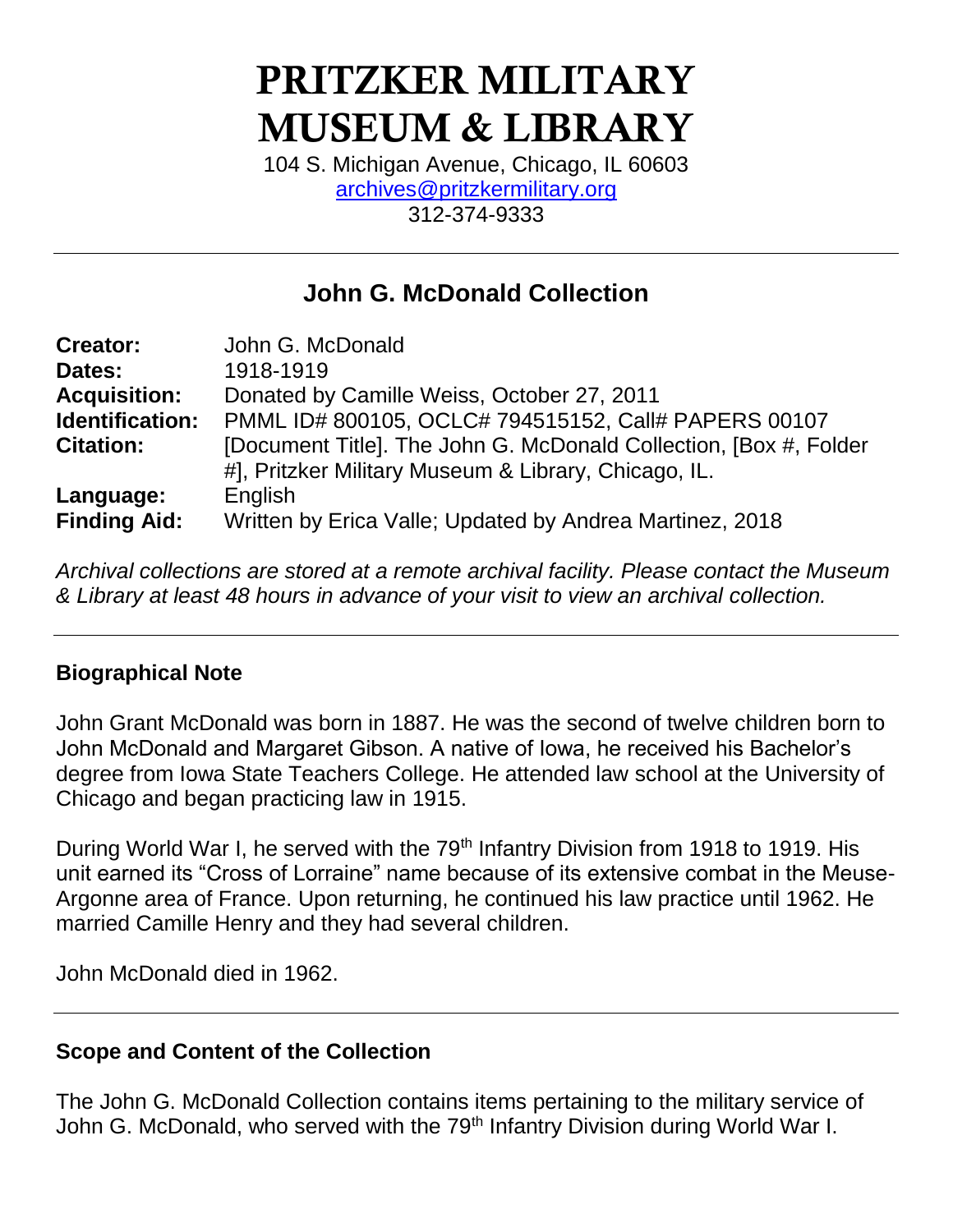# PRITZKER MILITARY MUSEUM & LIBRARY

104 S. Michigan Avenue, Chicago, IL 60603 [archives@pritzkermilitary.org](mailto:archives@pritzkermilitary.org) 312-374-9333

# **John G. McDonald Collection**

| <b>Creator:</b>     | John G. McDonald                                                  |
|---------------------|-------------------------------------------------------------------|
| Dates:              | 1918-1919                                                         |
| <b>Acquisition:</b> | Donated by Camille Weiss, October 27, 2011                        |
| Identification:     | PMML ID# 800105, OCLC# 794515152, Call# PAPERS 00107              |
| <b>Citation:</b>    | [Document Title]. The John G. McDonald Collection, [Box #, Folder |
|                     | #], Pritzker Military Museum & Library, Chicago, IL.              |
| Language:           | English                                                           |
| <b>Finding Aid:</b> | Written by Erica Valle; Updated by Andrea Martinez, 2018          |

*Archival collections are stored at a remote archival facility. Please contact the Museum & Library at least 48 hours in advance of your visit to view an archival collection.*

#### **Biographical Note**

John Grant McDonald was born in 1887. He was the second of twelve children born to John McDonald and Margaret Gibson. A native of Iowa, he received his Bachelor's degree from Iowa State Teachers College. He attended law school at the University of Chicago and began practicing law in 1915.

During World War I, he served with the 79<sup>th</sup> Infantry Division from 1918 to 1919. His unit earned its "Cross of Lorraine" name because of its extensive combat in the Meuse-Argonne area of France. Upon returning, he continued his law practice until 1962. He married Camille Henry and they had several children.

John McDonald died in 1962.

# **Scope and Content of the Collection**

The John G. McDonald Collection contains items pertaining to the military service of John G. McDonald, who served with the 79<sup>th</sup> Infantry Division during World War I.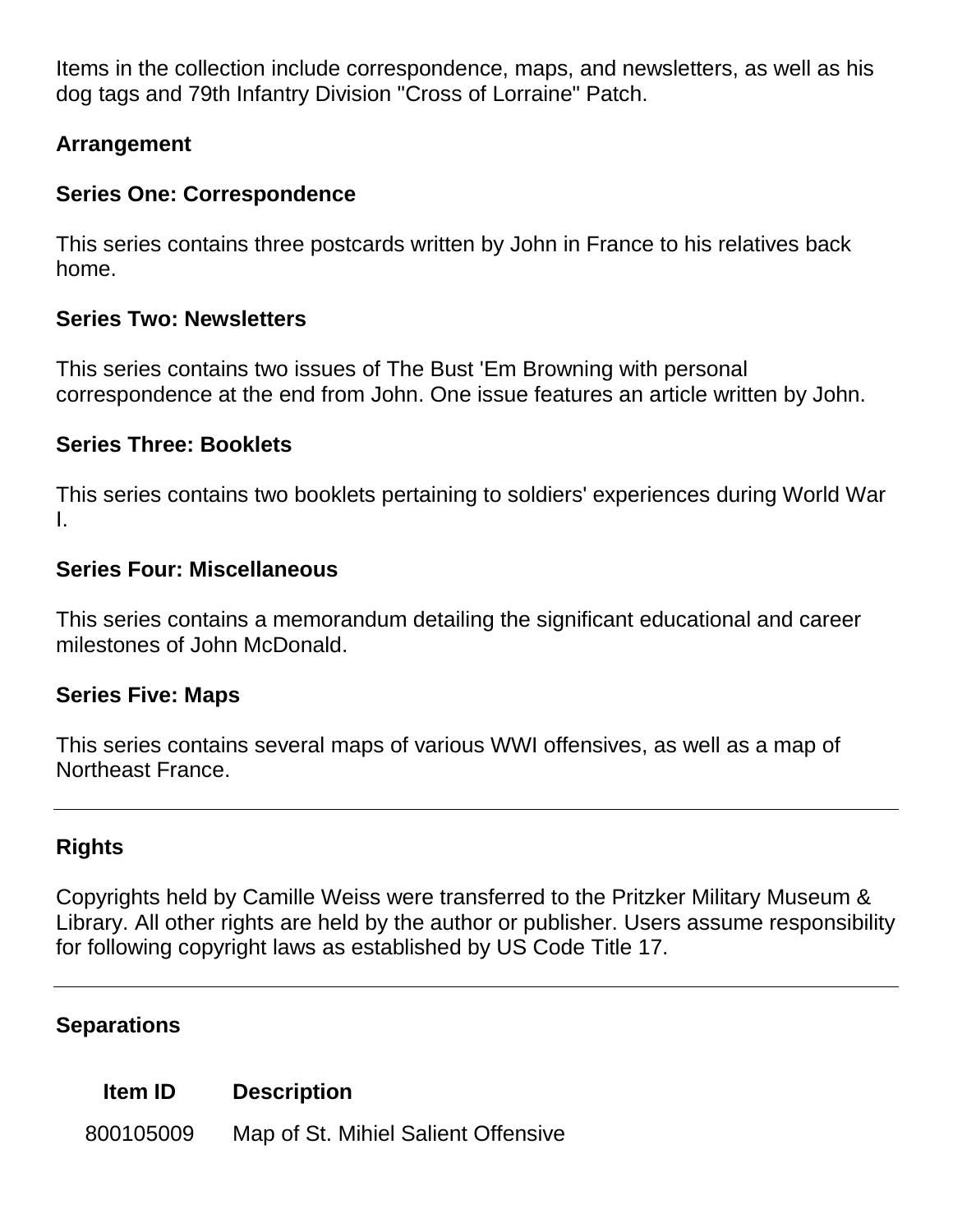Items in the collection include correspondence, maps, and newsletters, as well as his dog tags and 79th Infantry Division "Cross of Lorraine" Patch.

# **Arrangement**

# **Series One: Correspondence**

This series contains three postcards written by John in France to his relatives back home.

#### **Series Two: Newsletters**

This series contains two issues of The Bust 'Em Browning with personal correspondence at the end from John. One issue features an article written by John.

# **Series Three: Booklets**

This series contains two booklets pertaining to soldiers' experiences during World War I.

#### **Series Four: Miscellaneous**

This series contains a memorandum detailing the significant educational and career milestones of John McDonald.

#### **Series Five: Maps**

This series contains several maps of various WWI offensives, as well as a map of Northeast France.

#### **Rights**

Copyrights held by Camille Weiss were transferred to the Pritzker Military Museum & Library. All other rights are held by the author or publisher. Users assume responsibility for following copyright laws as established by US Code Title 17.

#### **Separations**

#### **Item ID Description**

800105009 Map of St. Mihiel Salient Offensive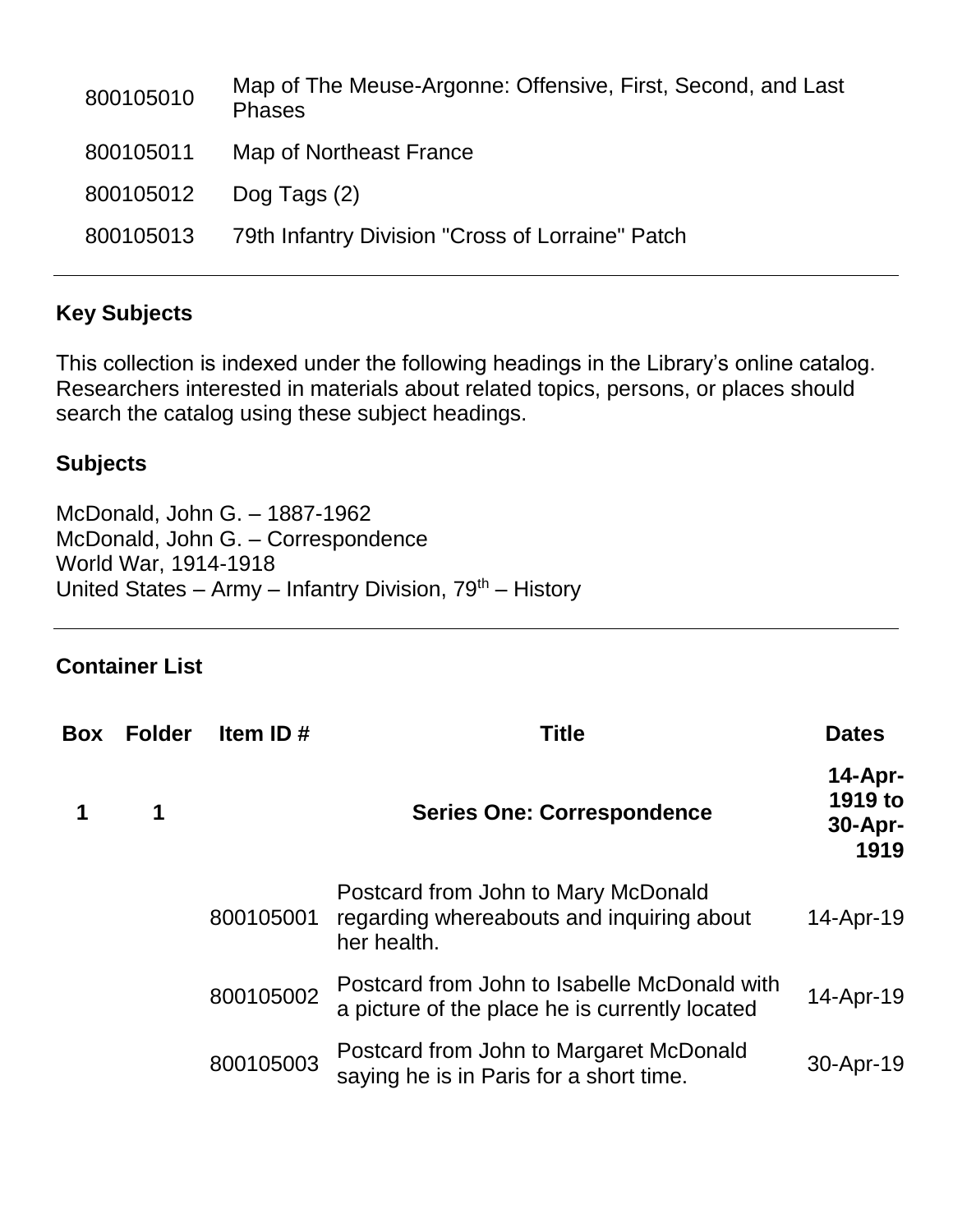| Map of The Meuse-Argonne: Offensive, First, Second, and Last<br><b>Phases</b> |
|-------------------------------------------------------------------------------|
| Map of Northeast France                                                       |
| Dog Tags (2)                                                                  |
| 79th Infantry Division "Cross of Lorraine" Patch                              |
|                                                                               |

# **Key Subjects**

This collection is indexed under the following headings in the Library's online catalog. Researchers interested in materials about related topics, persons, or places should search the catalog using these subject headings.

# **Subjects**

McDonald, John G. – 1887-1962 McDonald, John G. – Correspondence World War, 1914-1918 United States – Army – Infantry Division,  $79<sup>th</sup>$  – History

# **Container List**

| Box | <b>Folder</b> | Item ID $#$ | <b>Title</b>                                                                                    | <b>Dates</b>                               |
|-----|---------------|-------------|-------------------------------------------------------------------------------------------------|--------------------------------------------|
|     | 1             |             | <b>Series One: Correspondence</b>                                                               | $14$ -Apr-<br>1919 to<br>$30-Apr-$<br>1919 |
|     |               | 800105001   | Postcard from John to Mary McDonald<br>regarding whereabouts and inquiring about<br>her health. | 14-Apr-19                                  |
|     |               | 800105002   | Postcard from John to Isabelle McDonald with<br>a picture of the place he is currently located  | 14-Apr-19                                  |
|     |               | 800105003   | Postcard from John to Margaret McDonald<br>saying he is in Paris for a short time.              | 30-Apr-19                                  |